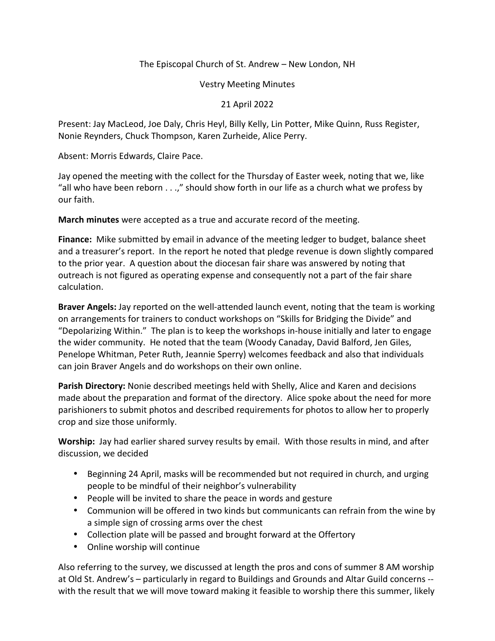## The Episcopal Church of St. Andrew – New London, NH

Vestry Meeting Minutes

21 April 2022

Present: Jay MacLeod, Joe Daly, Chris Heyl, Billy Kelly, Lin Potter, Mike Quinn, Russ Register, Nonie Reynders, Chuck Thompson, Karen Zurheide, Alice Perry.

Absent: Morris Edwards, Claire Pace.

Jay opened the meeting with the collect for the Thursday of Easter week, noting that we, like "all who have been reborn . . .," should show forth in our life as a church what we profess by our faith.

**March minutes** were accepted as a true and accurate record of the meeting.

**Finance:** Mike submitted by email in advance of the meeting ledger to budget, balance sheet and a treasurer's report. In the report he noted that pledge revenue is down slightly compared to the prior year. A question about the diocesan fair share was answered by noting that outreach is not figured as operating expense and consequently not a part of the fair share calculation.

**Braver Angels:** Jay reported on the well-attended launch event, noting that the team is working on arrangements for trainers to conduct workshops on "Skills for Bridging the Divide" and "Depolarizing Within." The plan is to keep the workshops in-house initially and later to engage the wider community. He noted that the team (Woody Canaday, David Balford, Jen Giles, Penelope Whitman, Peter Ruth, Jeannie Sperry) welcomes feedback and also that individuals can join Braver Angels and do workshops on their own online.

**Parish Directory:** Nonie described meetings held with Shelly, Alice and Karen and decisions made about the preparation and format of the directory. Alice spoke about the need for more parishioners to submit photos and described requirements for photos to allow her to properly crop and size those uniformly.

**Worship:** Jay had earlier shared survey results by email. With those results in mind, and after discussion, we decided

- Beginning 24 April, masks will be recommended but not required in church, and urging people to be mindful of their neighbor's vulnerability
- People will be invited to share the peace in words and gesture
- Communion will be offered in two kinds but communicants can refrain from the wine by a simple sign of crossing arms over the chest
- Collection plate will be passed and brought forward at the Offertory
- Online worship will continue

Also referring to the survey, we discussed at length the pros and cons of summer 8 AM worship at Old St. Andrew's – particularly in regard to Buildings and Grounds and Altar Guild concerns - with the result that we will move toward making it feasible to worship there this summer, likely